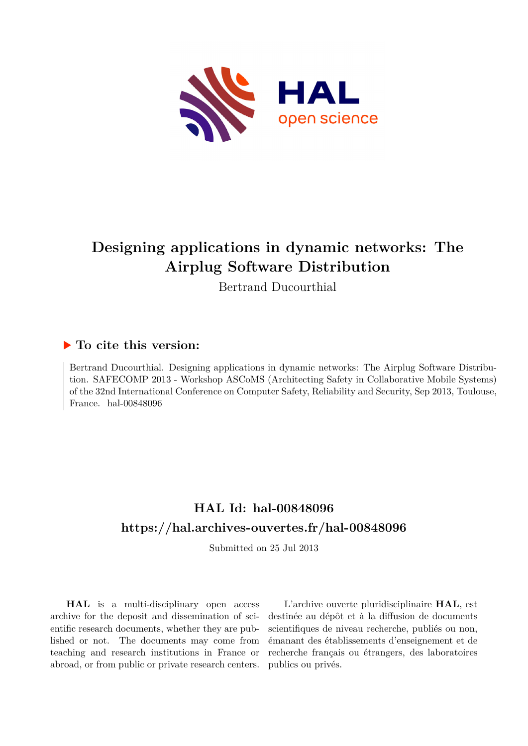

# **Designing applications in dynamic networks: The Airplug Software Distribution**

Bertrand Ducourthial

## **To cite this version:**

Bertrand Ducourthial. Designing applications in dynamic networks: The Airplug Software Distribution. SAFECOMP 2013 - Workshop ASCoMS (Architecting Safety in Collaborative Mobile Systems) of the 32nd International Conference on Computer Safety, Reliability and Security, Sep 2013, Toulouse, France. hal- $00848096$ 

# **HAL Id: hal-00848096 <https://hal.archives-ouvertes.fr/hal-00848096>**

Submitted on 25 Jul 2013

**HAL** is a multi-disciplinary open access archive for the deposit and dissemination of scientific research documents, whether they are published or not. The documents may come from teaching and research institutions in France or abroad, or from public or private research centers.

L'archive ouverte pluridisciplinaire **HAL**, est destinée au dépôt et à la diffusion de documents scientifiques de niveau recherche, publiés ou non, émanant des établissements d'enseignement et de recherche français ou étrangers, des laboratoires publics ou privés.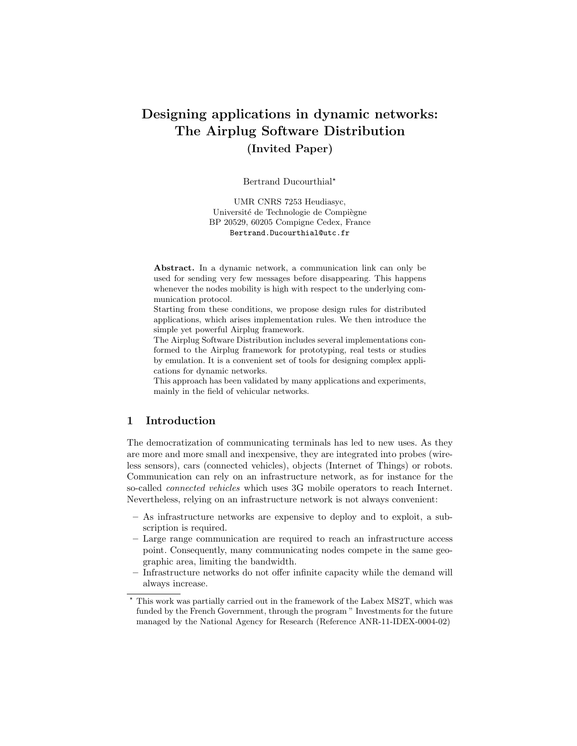## Designing applications in dynamic networks: The Airplug Software Distribution (Invited Paper)

Bertrand Ducourthial<sup>\*</sup>

UMR CNRS 7253 Heudiasyc, Université de Technologie de Compiègne BP 20529, 60205 Compigne Cedex, France Bertrand.Ducourthial@utc.fr

Abstract. In a dynamic network, a communication link can only be used for sending very few messages before disappearing. This happens whenever the nodes mobility is high with respect to the underlying communication protocol.

Starting from these conditions, we propose design rules for distributed applications, which arises implementation rules. We then introduce the simple yet powerful Airplug framework.

The Airplug Software Distribution includes several implementations conformed to the Airplug framework for prototyping, real tests or studies by emulation. It is a convenient set of tools for designing complex applications for dynamic networks.

This approach has been validated by many applications and experiments, mainly in the field of vehicular networks.

### 1 Introduction

The democratization of communicating terminals has led to new uses. As they are more and more small and inexpensive, they are integrated into probes (wireless sensors), cars (connected vehicles), objects (Internet of Things) or robots. Communication can rely on an infrastructure network, as for instance for the so-called *connected vehicles* which uses 3G mobile operators to reach Internet. Nevertheless, relying on an infrastructure network is not always convenient:

- As infrastructure networks are expensive to deploy and to exploit, a subscription is required.
- Large range communication are required to reach an infrastructure access point. Consequently, many communicating nodes compete in the same geographic area, limiting the bandwidth.
- Infrastructure networks do not offer infinite capacity while the demand will always increase.

This work was partially carried out in the framework of the Labex MS2T, which was funded by the French Government, through the program " Investments for the future managed by the National Agency for Research (Reference ANR-11-IDEX-0004-02)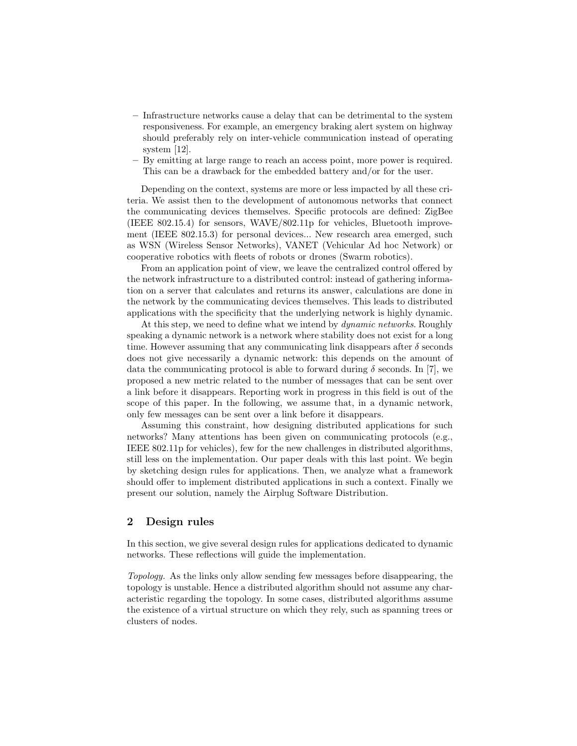- Infrastructure networks cause a delay that can be detrimental to the system responsiveness. For example, an emergency braking alert system on highway should preferably rely on inter-vehicle communication instead of operating system [12].
- By emitting at large range to reach an access point, more power is required. This can be a drawback for the embedded battery and/or for the user.

Depending on the context, systems are more or less impacted by all these criteria. We assist then to the development of autonomous networks that connect the communicating devices themselves. Specific protocols are defined: ZigBee (IEEE 802.15.4) for sensors, WAVE/802.11p for vehicles, Bluetooth improvement (IEEE 802.15.3) for personal devices... New research area emerged, such as WSN (Wireless Sensor Networks), VANET (Vehicular Ad hoc Network) or cooperative robotics with fleets of robots or drones (Swarm robotics).

From an application point of view, we leave the centralized control offered by the network infrastructure to a distributed control: instead of gathering information on a server that calculates and returns its answer, calculations are done in the network by the communicating devices themselves. This leads to distributed applications with the specificity that the underlying network is highly dynamic.

At this step, we need to define what we intend by dynamic networks. Roughly speaking a dynamic network is a network where stability does not exist for a long time. However assuming that any communicating link disappears after  $\delta$  seconds does not give necessarily a dynamic network: this depends on the amount of data the communicating protocol is able to forward during  $\delta$  seconds. In [7], we proposed a new metric related to the number of messages that can be sent over a link before it disappears. Reporting work in progress in this field is out of the scope of this paper. In the following, we assume that, in a dynamic network, only few messages can be sent over a link before it disappears.

Assuming this constraint, how designing distributed applications for such networks? Many attentions has been given on communicating protocols (e.g., IEEE 802.11p for vehicles), few for the new challenges in distributed algorithms, still less on the implementation. Our paper deals with this last point. We begin by sketching design rules for applications. Then, we analyze what a framework should offer to implement distributed applications in such a context. Finally we present our solution, namely the Airplug Software Distribution.

#### 2 Design rules

In this section, we give several design rules for applications dedicated to dynamic networks. These reflections will guide the implementation.

Topology. As the links only allow sending few messages before disappearing, the topology is unstable. Hence a distributed algorithm should not assume any characteristic regarding the topology. In some cases, distributed algorithms assume the existence of a virtual structure on which they rely, such as spanning trees or clusters of nodes.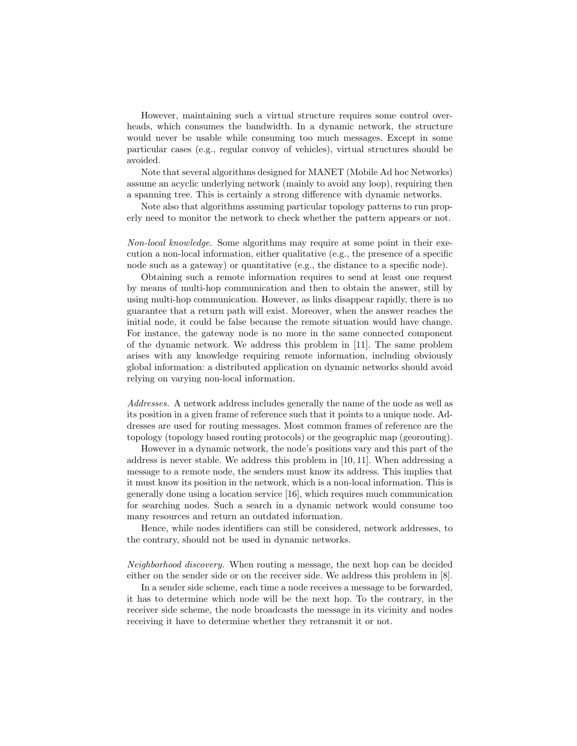However, maintaining such a virtual structure requires some control overheads, which consumes the bandwidth. In a dynamic network, the structure would never be usable while consuming too much messages. Except in some particular cases (e.g., regular convoy of vehicles), virtual structures should be avoided.

Note that several algorithms designed for MANET (Mobile Ad hoc Networks) assume an acyclic underlying network (mainly to avoid any loop), requiring then a spanning tree. This is certainly a strong difference with dynamic networks.

Note also that algorithms assuming particular topology patterns to run properly need to monitor the network to check whether the pattern appears or not.

Non-local knowledge. Some algorithms may require at some point in their execution a non-local information, either qualitative (e.g., the presence of a specific node such as a gateway) or quantitative (e.g., the distance to a specific node).

Obtaining such a remote information requires to send at least one request by means of multi-hop communication and then to obtain the answer, still by using multi-hop communication. However, as links disappear rapidly, there is no guarantee that a return path will exist. Moreover, when the answer reaches the initial node, it could be false because the remote situation would have change. For instance, the gateway node is no more in the same connected component of the dynamic network. We address this problem in [11]. The same problem arises with any knowledge requiring remote information, including obviously global information: a distributed application on dynamic networks should avoid relying on varying non-local information.

Addresses. A network address includes generally the name of the node as well as its position in a given frame of reference such that it points to a unique node. Addresses are used for routing messages. Most common frames of reference are the topology (topology based routing protocols) or the geographic map (georouting).

However in a dynamic network, the node's positions vary and this part of the address is never stable. We address this problem in [10, 11]. When addressing a message to a remote node, the senders must know its address. This implies that it must know its position in the network, which is a non-local information. This is generally done using a location service [16], which requires much communication for searching nodes. Such a search in a dynamic network would consume too many resources and return an outdated information.

Hence, while nodes identifiers can still be considered, network addresses, to the contrary, should not be used in dynamic networks.

Neighborhood discovery. When routing a message, the next hop can be decided either on the sender side or on the receiver side. We address this problem in [8].

In a sender side scheme, each time a node receives a message to be forwarded, it has to determine which node will be the next hop. To the contrary, in the receiver side scheme, the node broadcasts the message in its vicinity and nodes receiving it have to determine whether they retransmit it or not.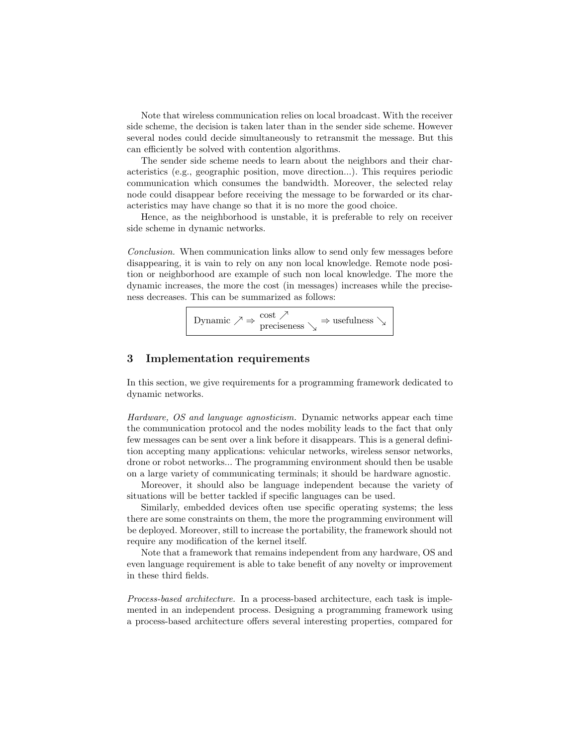Note that wireless communication relies on local broadcast. With the receiver side scheme, the decision is taken later than in the sender side scheme. However several nodes could decide simultaneously to retransmit the message. But this can efficiently be solved with contention algorithms.

The sender side scheme needs to learn about the neighbors and their characteristics (e.g., geographic position, move direction...). This requires periodic communication which consumes the bandwidth. Moreover, the selected relay node could disappear before receiving the message to be forwarded or its characteristics may have change so that it is no more the good choice.

Hence, as the neighborhood is unstable, it is preferable to rely on receiver side scheme in dynamic networks.

Conclusion. When communication links allow to send only few messages before disappearing, it is vain to rely on any non local knowledge. Remote node position or neighborhood are example of such non local knowledge. The more the dynamic increases, the more the cost (in messages) increases while the preciseness decreases. This can be summarized as follows:

Dynamic  $\nearrow \Rightarrow \frac{\text{cost}}{\text{preciseness}} \searrow \Rightarrow \text{usefulness} \searrow$ 

### 3 Implementation requirements

In this section, we give requirements for a programming framework dedicated to dynamic networks.

Hardware, OS and language agnosticism. Dynamic networks appear each time the communication protocol and the nodes mobility leads to the fact that only few messages can be sent over a link before it disappears. This is a general definition accepting many applications: vehicular networks, wireless sensor networks, drone or robot networks... The programming environment should then be usable on a large variety of communicating terminals; it should be hardware agnostic.

Moreover, it should also be language independent because the variety of situations will be better tackled if specific languages can be used.

Similarly, embedded devices often use specific operating systems; the less there are some constraints on them, the more the programming environment will be deployed. Moreover, still to increase the portability, the framework should not require any modification of the kernel itself.

Note that a framework that remains independent from any hardware, OS and even language requirement is able to take benefit of any novelty or improvement in these third fields.

Process-based architecture. In a process-based architecture, each task is implemented in an independent process. Designing a programming framework using a process-based architecture offers several interesting properties, compared for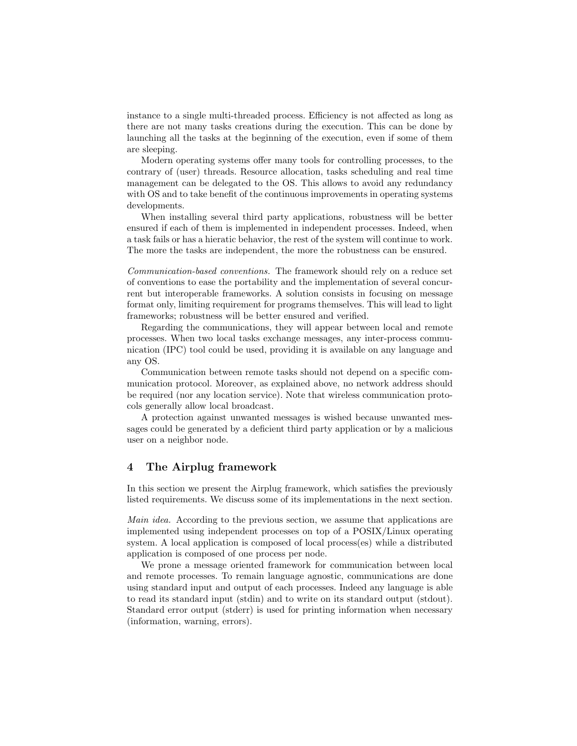instance to a single multi-threaded process. Efficiency is not affected as long as there are not many tasks creations during the execution. This can be done by launching all the tasks at the beginning of the execution, even if some of them are sleeping.

Modern operating systems offer many tools for controlling processes, to the contrary of (user) threads. Resource allocation, tasks scheduling and real time management can be delegated to the OS. This allows to avoid any redundancy with OS and to take benefit of the continuous improvements in operating systems developments.

When installing several third party applications, robustness will be better ensured if each of them is implemented in independent processes. Indeed, when a task fails or has a hieratic behavior, the rest of the system will continue to work. The more the tasks are independent, the more the robustness can be ensured.

Communication-based conventions. The framework should rely on a reduce set of conventions to ease the portability and the implementation of several concurrent but interoperable frameworks. A solution consists in focusing on message format only, limiting requirement for programs themselves. This will lead to light frameworks; robustness will be better ensured and verified.

Regarding the communications, they will appear between local and remote processes. When two local tasks exchange messages, any inter-process communication (IPC) tool could be used, providing it is available on any language and any OS.

Communication between remote tasks should not depend on a specific communication protocol. Moreover, as explained above, no network address should be required (nor any location service). Note that wireless communication protocols generally allow local broadcast.

A protection against unwanted messages is wished because unwanted messages could be generated by a deficient third party application or by a malicious user on a neighbor node.

#### 4 The Airplug framework

In this section we present the Airplug framework, which satisfies the previously listed requirements. We discuss some of its implementations in the next section.

Main idea. According to the previous section, we assume that applications are implemented using independent processes on top of a POSIX/Linux operating system. A local application is composed of local process(es) while a distributed application is composed of one process per node.

We prone a message oriented framework for communication between local and remote processes. To remain language agnostic, communications are done using standard input and output of each processes. Indeed any language is able to read its standard input (stdin) and to write on its standard output (stdout). Standard error output (stderr) is used for printing information when necessary (information, warning, errors).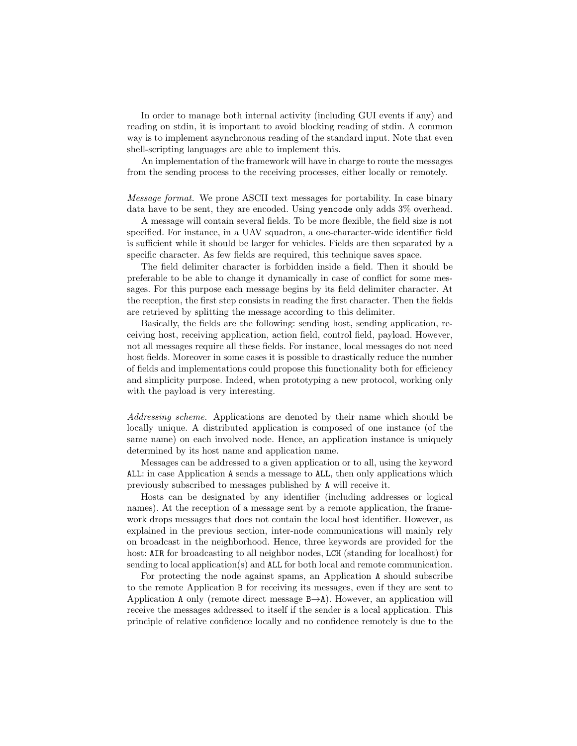In order to manage both internal activity (including GUI events if any) and reading on stdin, it is important to avoid blocking reading of stdin. A common way is to implement asynchronous reading of the standard input. Note that even shell-scripting languages are able to implement this.

An implementation of the framework will have in charge to route the messages from the sending process to the receiving processes, either locally or remotely.

Message format. We prone ASCII text messages for portability. In case binary data have to be sent, they are encoded. Using yencode only adds 3% overhead.

A message will contain several fields. To be more flexible, the field size is not specified. For instance, in a UAV squadron, a one-character-wide identifier field is sufficient while it should be larger for vehicles. Fields are then separated by a specific character. As few fields are required, this technique saves space.

The field delimiter character is forbidden inside a field. Then it should be preferable to be able to change it dynamically in case of conflict for some messages. For this purpose each message begins by its field delimiter character. At the reception, the first step consists in reading the first character. Then the fields are retrieved by splitting the message according to this delimiter.

Basically, the fields are the following: sending host, sending application, receiving host, receiving application, action field, control field, payload. However, not all messages require all these fields. For instance, local messages do not need host fields. Moreover in some cases it is possible to drastically reduce the number of fields and implementations could propose this functionality both for efficiency and simplicity purpose. Indeed, when prototyping a new protocol, working only with the payload is very interesting.

Addressing scheme. Applications are denoted by their name which should be locally unique. A distributed application is composed of one instance (of the same name) on each involved node. Hence, an application instance is uniquely determined by its host name and application name.

Messages can be addressed to a given application or to all, using the keyword ALL: in case Application A sends a message to ALL, then only applications which previously subscribed to messages published by A will receive it.

Hosts can be designated by any identifier (including addresses or logical names). At the reception of a message sent by a remote application, the framework drops messages that does not contain the local host identifier. However, as explained in the previous section, inter-node communications will mainly rely on broadcast in the neighborhood. Hence, three keywords are provided for the host: AIR for broadcasting to all neighbor nodes, LCH (standing for localhost) for sending to local application(s) and ALL for both local and remote communication.

For protecting the node against spams, an Application A should subscribe to the remote Application B for receiving its messages, even if they are sent to Application A only (remote direct message  $B\rightarrow A$ ). However, an application will receive the messages addressed to itself if the sender is a local application. This principle of relative confidence locally and no confidence remotely is due to the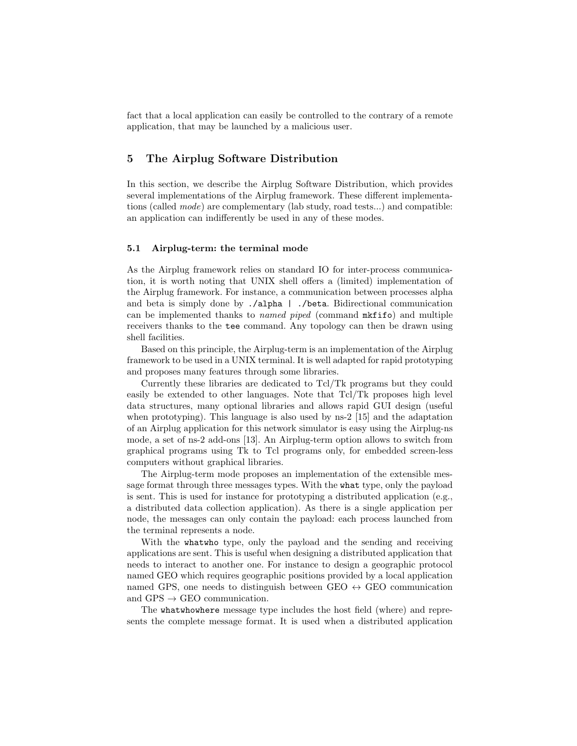fact that a local application can easily be controlled to the contrary of a remote application, that may be launched by a malicious user.

#### 5 The Airplug Software Distribution

In this section, we describe the Airplug Software Distribution, which provides several implementations of the Airplug framework. These different implementations (called mode) are complementary (lab study, road tests...) and compatible: an application can indifferently be used in any of these modes.

#### 5.1 Airplug-term: the terminal mode

As the Airplug framework relies on standard IO for inter-process communication, it is worth noting that UNIX shell offers a (limited) implementation of the Airplug framework. For instance, a communication between processes alpha and beta is simply done by ./alpha | ./beta. Bidirectional communication can be implemented thanks to named piped (command mkfifo) and multiple receivers thanks to the tee command. Any topology can then be drawn using shell facilities.

Based on this principle, the Airplug-term is an implementation of the Airplug framework to be used in a UNIX terminal. It is well adapted for rapid prototyping and proposes many features through some libraries.

Currently these libraries are dedicated to Tcl/Tk programs but they could easily be extended to other languages. Note that Tcl/Tk proposes high level data structures, many optional libraries and allows rapid GUI design (useful when prototyping). This language is also used by ns-2 [15] and the adaptation of an Airplug application for this network simulator is easy using the Airplug-ns mode, a set of ns-2 add-ons [13]. An Airplug-term option allows to switch from graphical programs using Tk to Tcl programs only, for embedded screen-less computers without graphical libraries.

The Airplug-term mode proposes an implementation of the extensible message format through three messages types. With the what type, only the payload is sent. This is used for instance for prototyping a distributed application (e.g., a distributed data collection application). As there is a single application per node, the messages can only contain the payload: each process launched from the terminal represents a node.

With the whatwho type, only the payload and the sending and receiving applications are sent. This is useful when designing a distributed application that needs to interact to another one. For instance to design a geographic protocol named GEO which requires geographic positions provided by a local application named GPS, one needs to distinguish between GEO  $\leftrightarrow$  GEO communication and  $GPS \rightarrow GEO$  communication.

The whatwhowhere message type includes the host field (where) and represents the complete message format. It is used when a distributed application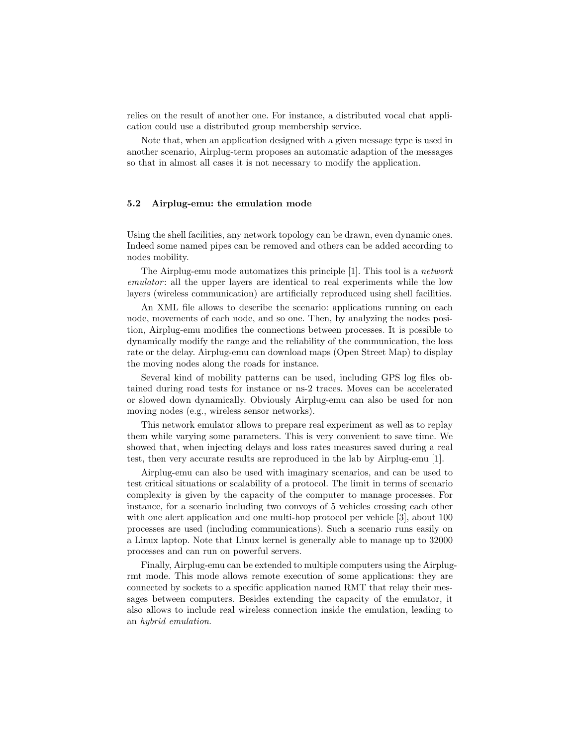relies on the result of another one. For instance, a distributed vocal chat application could use a distributed group membership service.

Note that, when an application designed with a given message type is used in another scenario, Airplug-term proposes an automatic adaption of the messages so that in almost all cases it is not necessary to modify the application.

#### 5.2 Airplug-emu: the emulation mode

Using the shell facilities, any network topology can be drawn, even dynamic ones. Indeed some named pipes can be removed and others can be added according to nodes mobility.

The Airplug-emu mode automatizes this principle [1]. This tool is a network emulator: all the upper layers are identical to real experiments while the low layers (wireless communication) are artificially reproduced using shell facilities.

An XML file allows to describe the scenario: applications running on each node, movements of each node, and so one. Then, by analyzing the nodes position, Airplug-emu modifies the connections between processes. It is possible to dynamically modify the range and the reliability of the communication, the loss rate or the delay. Airplug-emu can download maps (Open Street Map) to display the moving nodes along the roads for instance.

Several kind of mobility patterns can be used, including GPS log files obtained during road tests for instance or ns-2 traces. Moves can be accelerated or slowed down dynamically. Obviously Airplug-emu can also be used for non moving nodes (e.g., wireless sensor networks).

This network emulator allows to prepare real experiment as well as to replay them while varying some parameters. This is very convenient to save time. We showed that, when injecting delays and loss rates measures saved during a real test, then very accurate results are reproduced in the lab by Airplug-emu [1].

Airplug-emu can also be used with imaginary scenarios, and can be used to test critical situations or scalability of a protocol. The limit in terms of scenario complexity is given by the capacity of the computer to manage processes. For instance, for a scenario including two convoys of 5 vehicles crossing each other with one alert application and one multi-hop protocol per vehicle [3], about 100 processes are used (including communications). Such a scenario runs easily on a Linux laptop. Note that Linux kernel is generally able to manage up to 32000 processes and can run on powerful servers.

Finally, Airplug-emu can be extended to multiple computers using the Airplugrmt mode. This mode allows remote execution of some applications: they are connected by sockets to a specific application named RMT that relay their messages between computers. Besides extending the capacity of the emulator, it also allows to include real wireless connection inside the emulation, leading to an hybrid emulation.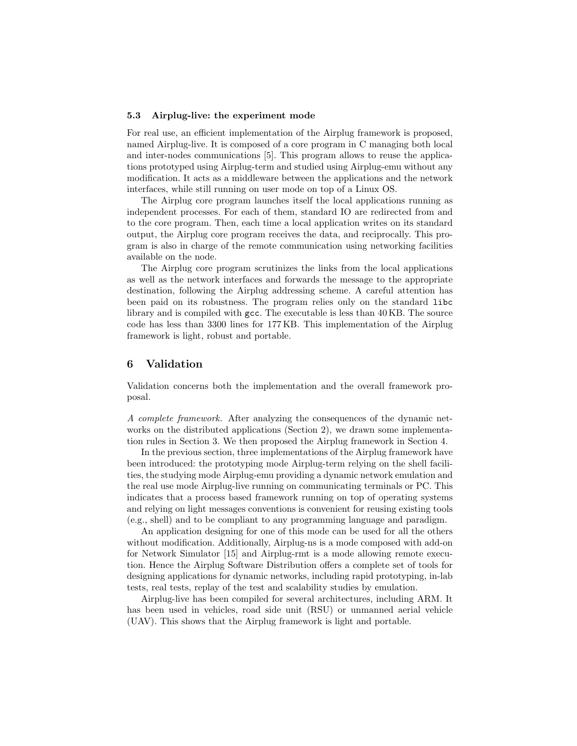#### 5.3 Airplug-live: the experiment mode

For real use, an efficient implementation of the Airplug framework is proposed, named Airplug-live. It is composed of a core program in C managing both local and inter-nodes communications [5]. This program allows to reuse the applications prototyped using Airplug-term and studied using Airplug-emu without any modification. It acts as a middleware between the applications and the network interfaces, while still running on user mode on top of a Linux OS.

The Airplug core program launches itself the local applications running as independent processes. For each of them, standard IO are redirected from and to the core program. Then, each time a local application writes on its standard output, the Airplug core program receives the data, and reciprocally. This program is also in charge of the remote communication using networking facilities available on the node.

The Airplug core program scrutinizes the links from the local applications as well as the network interfaces and forwards the message to the appropriate destination, following the Airplug addressing scheme. A careful attention has been paid on its robustness. The program relies only on the standard libc library and is compiled with gcc. The executable is less than 40 KB. The source code has less than 3300 lines for 177 KB. This implementation of the Airplug framework is light, robust and portable.

#### 6 Validation

Validation concerns both the implementation and the overall framework proposal.

A complete framework. After analyzing the consequences of the dynamic networks on the distributed applications (Section 2), we drawn some implementation rules in Section 3. We then proposed the Airplug framework in Section 4.

In the previous section, three implementations of the Airplug framework have been introduced: the prototyping mode Airplug-term relying on the shell facilities, the studying mode Airplug-emu providing a dynamic network emulation and the real use mode Airplug-live running on communicating terminals or PC. This indicates that a process based framework running on top of operating systems and relying on light messages conventions is convenient for reusing existing tools (e.g., shell) and to be compliant to any programming language and paradigm.

An application designing for one of this mode can be used for all the others without modification. Additionally, Airplug-ns is a mode composed with add-on for Network Simulator [15] and Airplug-rmt is a mode allowing remote execution. Hence the Airplug Software Distribution offers a complete set of tools for designing applications for dynamic networks, including rapid prototyping, in-lab tests, real tests, replay of the test and scalability studies by emulation.

Airplug-live has been compiled for several architectures, including ARM. It has been used in vehicles, road side unit (RSU) or unmanned aerial vehicle (UAV). This shows that the Airplug framework is light and portable.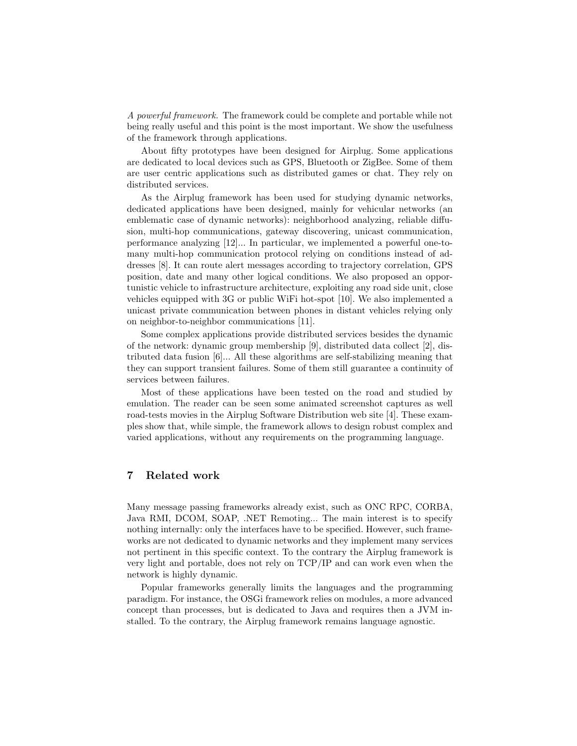A powerful framework. The framework could be complete and portable while not being really useful and this point is the most important. We show the usefulness of the framework through applications.

About fifty prototypes have been designed for Airplug. Some applications are dedicated to local devices such as GPS, Bluetooth or ZigBee. Some of them are user centric applications such as distributed games or chat. They rely on distributed services.

As the Airplug framework has been used for studying dynamic networks, dedicated applications have been designed, mainly for vehicular networks (an emblematic case of dynamic networks): neighborhood analyzing, reliable diffusion, multi-hop communications, gateway discovering, unicast communication, performance analyzing [12]... In particular, we implemented a powerful one-tomany multi-hop communication protocol relying on conditions instead of addresses [8]. It can route alert messages according to trajectory correlation, GPS position, date and many other logical conditions. We also proposed an opportunistic vehicle to infrastructure architecture, exploiting any road side unit, close vehicles equipped with 3G or public WiFi hot-spot [10]. We also implemented a unicast private communication between phones in distant vehicles relying only on neighbor-to-neighbor communications [11].

Some complex applications provide distributed services besides the dynamic of the network: dynamic group membership [9], distributed data collect [2], distributed data fusion [6]... All these algorithms are self-stabilizing meaning that they can support transient failures. Some of them still guarantee a continuity of services between failures.

Most of these applications have been tested on the road and studied by emulation. The reader can be seen some animated screenshot captures as well road-tests movies in the Airplug Software Distribution web site [4]. These examples show that, while simple, the framework allows to design robust complex and varied applications, without any requirements on the programming language.

#### 7 Related work

Many message passing frameworks already exist, such as ONC RPC, CORBA, Java RMI, DCOM, SOAP, .NET Remoting... The main interest is to specify nothing internally: only the interfaces have to be specified. However, such frameworks are not dedicated to dynamic networks and they implement many services not pertinent in this specific context. To the contrary the Airplug framework is very light and portable, does not rely on TCP/IP and can work even when the network is highly dynamic.

Popular frameworks generally limits the languages and the programming paradigm. For instance, the OSGi framework relies on modules, a more advanced concept than processes, but is dedicated to Java and requires then a JVM installed. To the contrary, the Airplug framework remains language agnostic.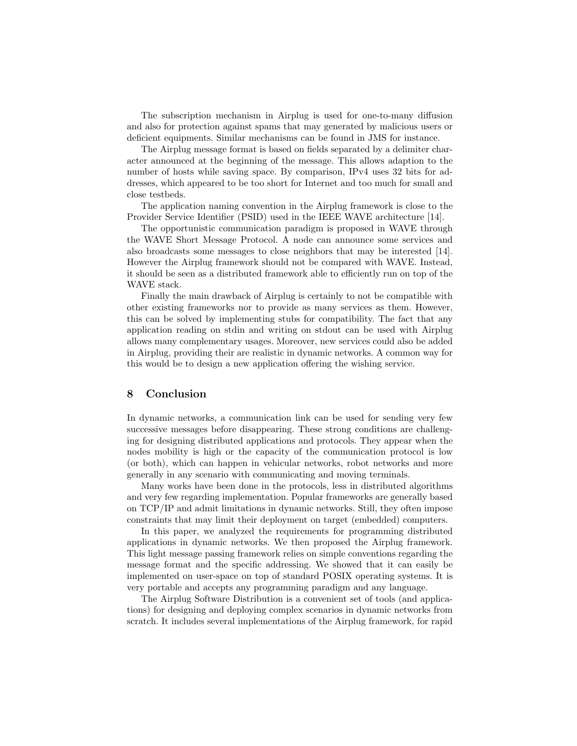The subscription mechanism in Airplug is used for one-to-many diffusion and also for protection against spams that may generated by malicious users or deficient equipments. Similar mechanisms can be found in JMS for instance.

The Airplug message format is based on fields separated by a delimiter character announced at the beginning of the message. This allows adaption to the number of hosts while saving space. By comparison, IPv4 uses 32 bits for addresses, which appeared to be too short for Internet and too much for small and close testbeds.

The application naming convention in the Airplug framework is close to the Provider Service Identifier (PSID) used in the IEEE WAVE architecture [14].

The opportunistic communication paradigm is proposed in WAVE through the WAVE Short Message Protocol. A node can announce some services and also broadcasts some messages to close neighbors that may be interested [14]. However the Airplug framework should not be compared with WAVE. Instead, it should be seen as a distributed framework able to efficiently run on top of the WAVE stack.

Finally the main drawback of Airplug is certainly to not be compatible with other existing frameworks nor to provide as many services as them. However, this can be solved by implementing stubs for compatibility. The fact that any application reading on stdin and writing on stdout can be used with Airplug allows many complementary usages. Moreover, new services could also be added in Airplug, providing their are realistic in dynamic networks. A common way for this would be to design a new application offering the wishing service.

#### 8 Conclusion

In dynamic networks, a communication link can be used for sending very few successive messages before disappearing. These strong conditions are challenging for designing distributed applications and protocols. They appear when the nodes mobility is high or the capacity of the communication protocol is low (or both), which can happen in vehicular networks, robot networks and more generally in any scenario with communicating and moving terminals.

Many works have been done in the protocols, less in distributed algorithms and very few regarding implementation. Popular frameworks are generally based on TCP/IP and admit limitations in dynamic networks. Still, they often impose constraints that may limit their deployment on target (embedded) computers.

In this paper, we analyzed the requirements for programming distributed applications in dynamic networks. We then proposed the Airplug framework. This light message passing framework relies on simple conventions regarding the message format and the specific addressing. We showed that it can easily be implemented on user-space on top of standard POSIX operating systems. It is very portable and accepts any programming paradigm and any language.

The Airplug Software Distribution is a convenient set of tools (and applications) for designing and deploying complex scenarios in dynamic networks from scratch. It includes several implementations of the Airplug framework, for rapid